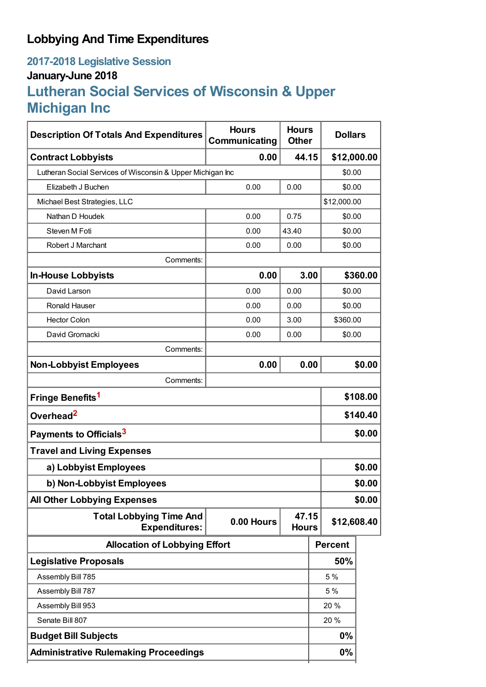# **Lobbying And Time Expenditures**

## **2017-2018 Legislative Session January-June 2018**

# **Lutheran Social Services of Wisconsin & Upper Michigan Inc**

| <b>Description Of Totals And Expenditures</b>                                                 | <b>Hours</b><br>Communicating | <b>Hours</b><br><b>Other</b> | <b>Dollars</b> |          |  |
|-----------------------------------------------------------------------------------------------|-------------------------------|------------------------------|----------------|----------|--|
| <b>Contract Lobbyists</b>                                                                     | 0.00                          | 44.15                        | \$12,000.00    |          |  |
| Lutheran Social Services of Wisconsin & Upper Michigan Inc                                    |                               |                              | \$0.00         |          |  |
| Elizabeth J Buchen                                                                            | 0.00<br>0.00                  |                              | \$0.00         |          |  |
| Michael Best Strategies, LLC                                                                  |                               |                              | \$12,000.00    |          |  |
| Nathan D Houdek                                                                               | 0.00                          | 0.75                         | \$0.00         |          |  |
| Steven M Foti                                                                                 | 0.00                          | 43.40                        | \$0.00         |          |  |
| Robert J Marchant                                                                             | 0.00                          | 0.00                         | \$0.00         |          |  |
| Comments:                                                                                     |                               |                              |                |          |  |
| <b>In-House Lobbyists</b>                                                                     | 0.00                          | 3.00                         | \$360.00       |          |  |
| David Larson                                                                                  | 0.00                          | 0.00                         | \$0.00         |          |  |
| <b>Ronald Hauser</b>                                                                          | 0.00                          | 0.00                         | \$0.00         |          |  |
| <b>Hector Colon</b>                                                                           | 0.00                          | 3.00                         |                | \$360.00 |  |
| David Gromacki                                                                                | 0.00                          | 0.00                         | \$0.00         |          |  |
| Comments:                                                                                     |                               |                              |                |          |  |
| <b>Non-Lobbyist Employees</b>                                                                 | 0.00                          | 0.00                         |                | \$0.00   |  |
| Comments:                                                                                     |                               |                              |                |          |  |
| Fringe Benefits <sup>1</sup>                                                                  |                               |                              |                | \$108.00 |  |
| Overhead <sup>2</sup>                                                                         |                               |                              |                | \$140.40 |  |
| Payments to Officials <sup>3</sup>                                                            |                               |                              |                | \$0.00   |  |
| <b>Travel and Living Expenses</b>                                                             |                               |                              |                |          |  |
| a) Lobbyist Employees                                                                         |                               |                              |                | \$0.00   |  |
| b) Non-Lobbyist Employees                                                                     |                               |                              |                | \$0.00   |  |
| <b>All Other Lobbying Expenses</b>                                                            |                               |                              |                | \$0.00   |  |
| <b>Total Lobbying Time And</b><br>47.15<br>0.00 Hours<br><b>Expenditures:</b><br><b>Hours</b> |                               | \$12,608.40                  |                |          |  |
| <b>Allocation of Lobbying Effort</b>                                                          |                               |                              | <b>Percent</b> |          |  |
| <b>Legislative Proposals</b>                                                                  |                               |                              | 50%            |          |  |
| Assembly Bill 785                                                                             |                               |                              | 5 %            |          |  |
| Assembly Bill 787                                                                             |                               |                              | 5 %            |          |  |
| Assembly Bill 953                                                                             |                               |                              | 20 %           |          |  |
| Senate Bill 807                                                                               |                               |                              | 20 %           |          |  |
| <b>Budget Bill Subjects</b>                                                                   |                               |                              | 0%             |          |  |
| <b>Administrative Rulemaking Proceedings</b>                                                  |                               |                              | 0%             |          |  |